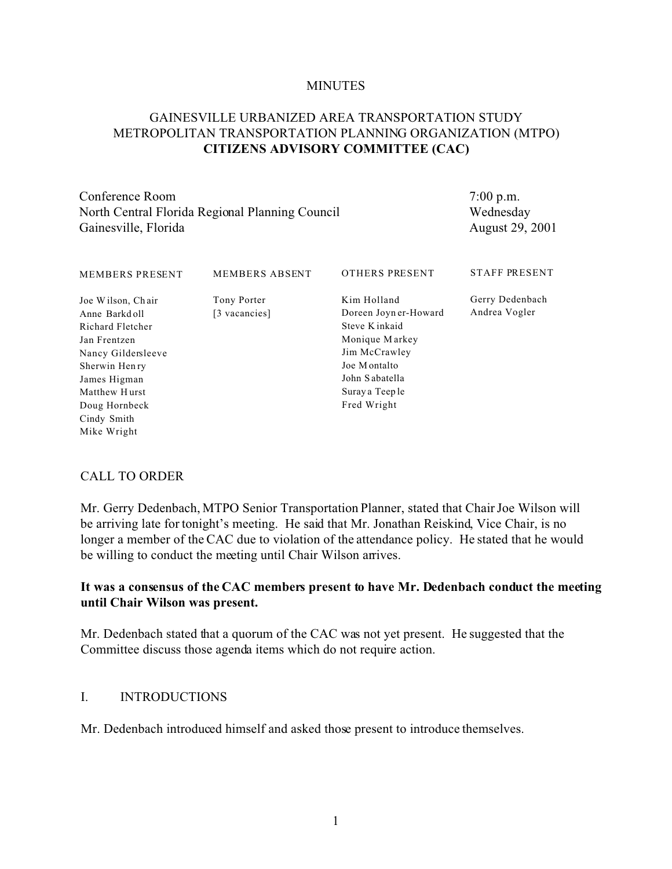#### **MINUTES**

## GAINESVILLE URBANIZED AREA TRANSPORTATION STUDY METROPOLITAN TRANSPORTATION PLANNING ORGANIZATION (MTPO) **CITIZENS ADVISORY COMMITTEE (CAC)**

Conference Room North Central Florida Regional Planning Council Gainesville, Florida

7:00 p.m. Wednesday August 29, 2001

| <b>MEMBERS PRESENT</b> | <b>MEMBERS ABSENT</b> | <b>OTHERS PRESENT</b> | <b>STAFF PRESENT</b> |
|------------------------|-----------------------|-----------------------|----------------------|
| Joe Wilson, Chair      | Tony Porter           | Kim Holland           | Gerry Dedenbach      |
| Anne Barkdoll          | [3 vacancies]         | Doreen Joyner-Howard  | Andrea Vogler        |
| Richard Fletcher       |                       | Steve Kinkaid         |                      |
| Jan Frentzen           |                       | Monique Markey        |                      |
| Nancy Gildersleeve     |                       | Jim McCrawley         |                      |
| Sherwin Henry          |                       | Joe Montalto          |                      |
| James Higman           |                       | John Sabatella        |                      |
| Matthew Hurst          |                       | Suray a Teep le       |                      |
| Doug Hornbeck          |                       | Fred Wright           |                      |
| Cindy Smith            |                       |                       |                      |
| Mike Wright            |                       |                       |                      |

#### CALL TO ORDER

Mr. Gerry Dedenbach, MTPO Senior Transportation Planner, stated that Chair Joe Wilson will be arriving late for tonight's meeting. He said that Mr. Jonathan Reiskind, Vice Chair, is no longer a member of the CAC due to violation of the attendance policy. He stated that he would be willing to conduct the meeting until Chair Wilson arrives.

# **It was a consensus of the CAC members present to have Mr. Dedenbach conduct the meeting until Chair Wilson was present.**

Mr. Dedenbach stated that a quorum of the CAC was not yet present. He suggested that the Committee discuss those agenda items which do not require action.

#### I. INTRODUCTIONS

Mr. Dedenbach introduced himself and asked those present to introduce themselves.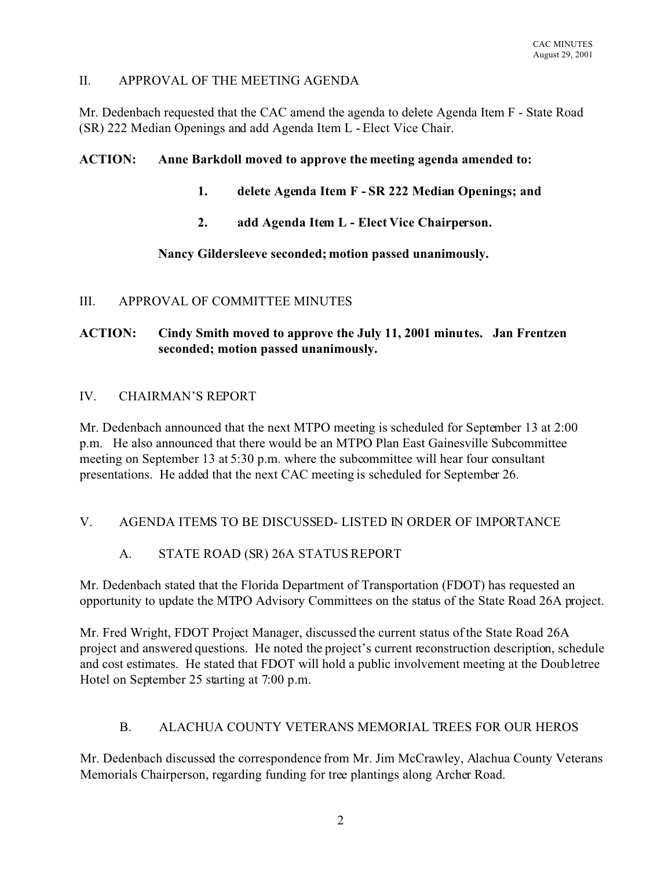## II. APPROVAL OF THE MEETING AGENDA

Mr. Dedenbach requested that the CAC amend the agenda to delete Agenda Item F - State Road (SR) 222 Median Openings and add Agenda Item L - Elect Vice Chair.

#### **ACTION: Anne Barkdoll moved to approve the meeting agenda amended to:**

- **1. delete Agenda Item F SR 222 Median Openings; and**
- **2. add Agenda Item L Elect Vice Chairperson.**

#### **Nancy Gildersleeve seconded; motion passed unanimously.**

#### III. APPROVAL OF COMMITTEE MINUTES

# **ACTION: Cindy Smith moved to approve the July 11, 2001 minutes. Jan Frentzen seconded; motion passed unanimously.**

#### IV. CHAIRMAN'S REPORT

Mr. Dedenbach announced that the next MTPO meeting is scheduled for September 13 at 2:00 p.m. He also announced that there would be an MTPO Plan East Gainesville Subcommittee meeting on September 13 at 5:30 p.m. where the subcommittee will hear four consultant presentations. He added that the next CAC meeting is scheduled for September 26.

# V. AGENDA ITEMS TO BE DISCUSSED- LISTED IN ORDER OF IMPORTANCE

# A. STATE ROAD (SR) 26A STATUS REPORT

Mr. Dedenbach stated that the Florida Department of Transportation (FDOT) has requested an opportunity to update the MTPO Advisory Committees on the status of the State Road 26A project.

Mr. Fred Wright, FDOT Project Manager, discussed the current status of the State Road 26A project and answered questions. He noted the project's current reconstruction description, schedule and cost estimates. He stated that FDOT will hold a public involvement meeting at the Doubletree Hotel on September 25 starting at 7:00 p.m.

# B. ALACHUA COUNTY VETERANS MEMORIAL TREES FOR OUR HEROS

Mr. Dedenbach discussed the correspondence from Mr. Jim McCrawley, Alachua County Veterans Memorials Chairperson, regarding funding for tree plantings along Archer Road.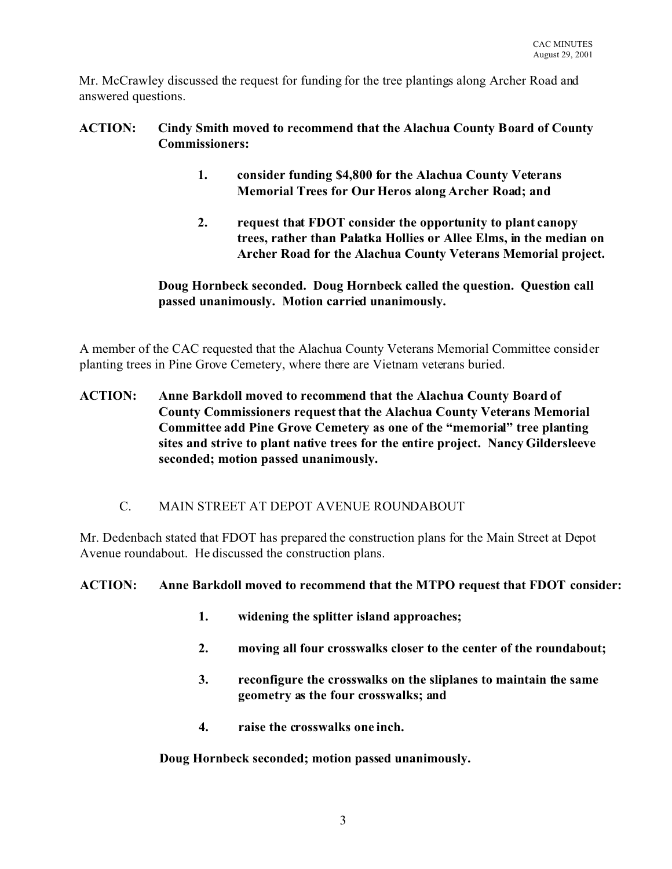Mr. McCrawley discussed the request for funding for the tree plantings along Archer Road and answered questions.

# **ACTION: Cindy Smith moved to recommend that the Alachua County Board of County Commissioners:**

- **1. consider funding \$4,800 for the Alachua County Veterans Memorial Trees for Our Heros along Archer Road; and**
- **2. request that FDOT consider the opportunity to plant canopy trees, rather than Palatka Hollies or Allee Elms, in the median on Archer Road for the Alachua County Veterans Memorial project.**

# **Doug Hornbeck seconded. Doug Hornbeck called the question. Question call passed unanimously. Motion carried unanimously.**

A member of the CAC requested that the Alachua County Veterans Memorial Committee consider planting trees in Pine Grove Cemetery, where there are Vietnam veterans buried.

- **ACTION: Anne Barkdoll moved to recommend that the Alachua County Board of County Commissioners request that the Alachua County Veterans Memorial Committee add Pine Grove Cemetery as one of the "memorial" tree planting sites and strive to plant native trees for the entire project. Nancy Gildersleeve seconded; motion passed unanimously.**
	- C. MAIN STREET AT DEPOT AVENUE ROUNDABOUT

Mr. Dedenbach stated that FDOT has prepared the construction plans for the Main Street at Depot Avenue roundabout. He discussed the construction plans.

# **ACTION: Anne Barkdoll moved to recommend that the MTPO request that FDOT consider:**

- **1. widening the splitter island approaches;**
- **2. moving all four crosswalks closer to the center of the roundabout;**
- **3. reconfigure the crosswalks on the sliplanes to maintain the same geometry as the four crosswalks; and**
- **4. raise the crosswalks one inch.**

**Doug Hornbeck seconded; motion passed unanimously.**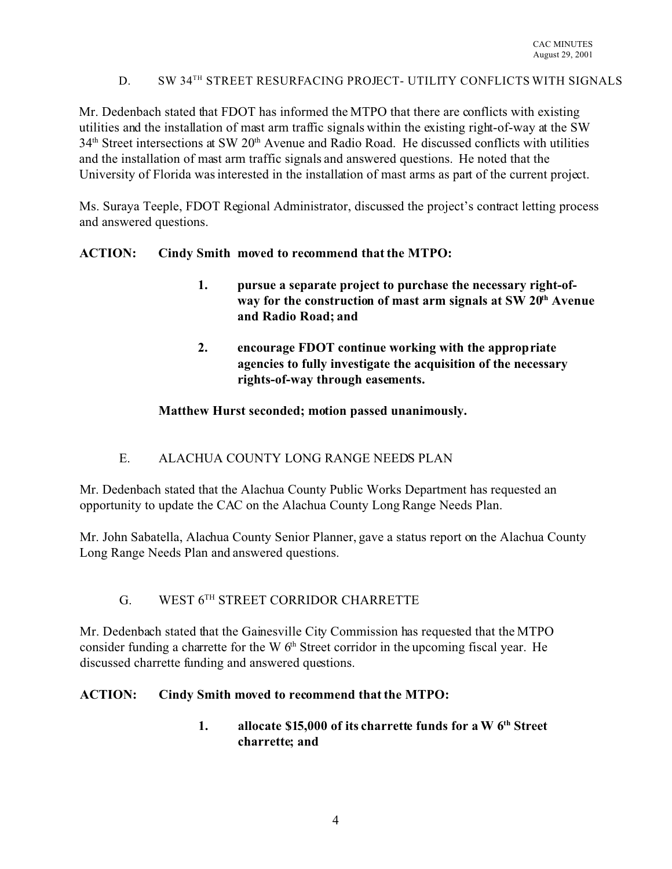# D. SW 34<sup>TH</sup> STREET RESURFACING PROJECT- UTILITY CONFLICTS WITH SIGNALS

Mr. Dedenbach stated that FDOT has informed the MTPO that there are conflicts with existing utilities and the installation of mast arm traffic signals within the existing right-of-way at the SW 34th Street intersections at SW 20th Avenue and Radio Road. He discussed conflicts with utilities and the installation of mast arm traffic signals and answered questions. He noted that the University of Florida was interested in the installation of mast arms as part of the current project.

Ms. Suraya Teeple, FDOT Regional Administrator, discussed the project's contract letting process and answered questions.

# **ACTION: Cindy Smith moved to recommend that the MTPO:**

- **1. pursue a separate project to purchase the necessary right-ofway for the construction of mast arm signals at SW 20th Avenue and Radio Road; and**
- **2. encourage FDOT continue working with the appropriate agencies to fully investigate the acquisition of the necessary rights-of-way through easements.**

#### **Matthew Hurst seconded; motion passed unanimously.**

# E. ALACHUA COUNTY LONG RANGE NEEDS PLAN

Mr. Dedenbach stated that the Alachua County Public Works Department has requested an opportunity to update the CAC on the Alachua County Long Range Needs Plan.

Mr. John Sabatella, Alachua County Senior Planner, gave a status report on the Alachua County Long Range Needs Plan and answered questions.

# G. WEST 6TH STREET CORRIDOR CHARRETTE

Mr. Dedenbach stated that the Gainesville City Commission has requested that the MTPO consider funding a charrette for the W  $6<sup>th</sup>$  Street corridor in the upcoming fiscal year. He discussed charrette funding and answered questions.

#### **ACTION: Cindy Smith moved to recommend that the MTPO:**

**1. allocate \$15,000 of its charrette funds for a W 6th Street charrette; and**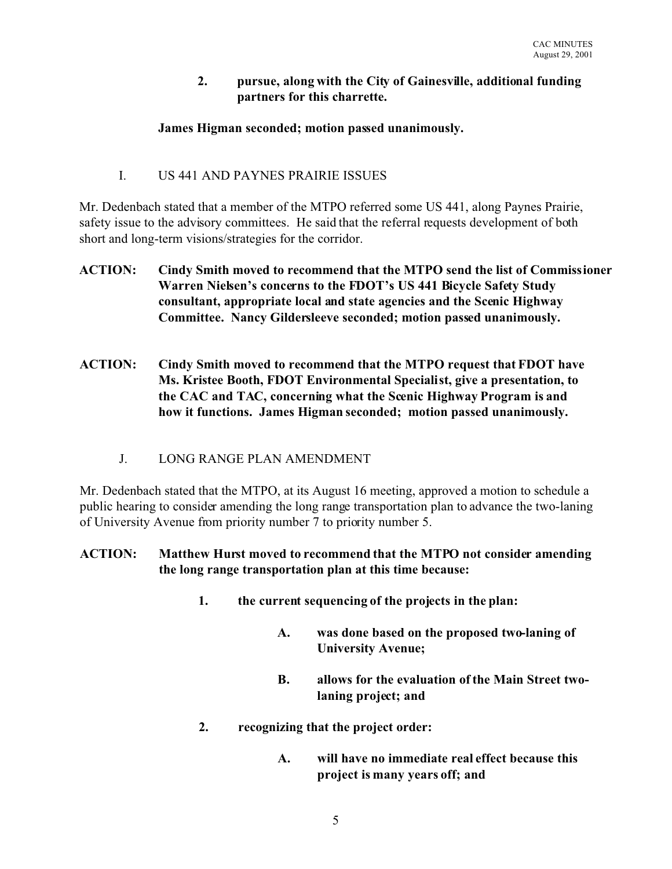#### **2. pursue, along with the City of Gainesville, additional funding partners for this charrette.**

#### **James Higman seconded; motion passed unanimously.**

# I. US 441 AND PAYNES PRAIRIE ISSUES

Mr. Dedenbach stated that a member of the MTPO referred some US 441, along Paynes Prairie, safety issue to the advisory committees. He said that the referral requests development of both short and long-term visions/strategies for the corridor.

- **ACTION: Cindy Smith moved to recommend that the MTPO send the list of Commissioner Warren Nielsen's concerns to the FDOT's US 441 Bicycle Safety Study consultant, appropriate local and state agencies and the Scenic Highway Committee. Nancy Gildersleeve seconded; motion passed unanimously.**
- **ACTION: Cindy Smith moved to recommend that the MTPO request that FDOT have Ms. Kristee Booth, FDOT Environmental Specialist, give a presentation, to the CAC and TAC, concerning what the Scenic Highway Program is and how it functions. James Higman seconded; motion passed unanimously.**
	- J. LONG RANGE PLAN AMENDMENT

Mr. Dedenbach stated that the MTPO, at its August 16 meeting, approved a motion to schedule a public hearing to consider amending the long range transportation plan to advance the two-laning of University Avenue from priority number 7 to priority number 5.

# **ACTION: Matthew Hurst moved to recommend that the MTPO not consider amending the long range transportation plan at this time because:**

- **1. the current sequencing of the projects in the plan:**
	- **A. was done based on the proposed two-laning of University Avenue;**
	- **B. allows for the evaluation of the Main Street twolaning project; and**
- **2. recognizing that the project order:**
	- **A. will have no immediate real effect because this project is many years off; and**